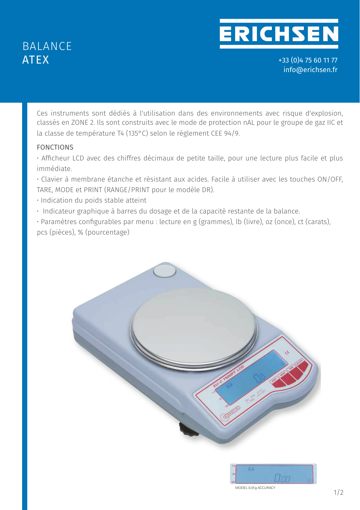## BALANCE ATEX

# **ERICHSEN**

+33 (0)4 75 60 11 77 info@erichsen.fr

Ces instruments sont dédiés à l'utilisation dans des environnements avec risque d'explosion, classés en ZONE 2. Ils sont construits avec le mode de protection nAL pour le groupe de gaz IIC et la classe de température T4 (135°C) selon le règlement CEE 94/9.

### FONCTIONS

• Afficheur LCD avec des chiffres décimaux de petite taille, pour une lecture plus facile et plus immédiate.

• Clavier à membrane étanche et résistant aux acides. Facile à utiliser avec les touches ON/OFF, TARE, MODE et PRINT (RANGE/PRINT pour le modèle DR).

- Indication du poids stable atteint
- Indicateur graphique à barres du dosage et de la capacité restante de la balance.

*Industrial balances* • Paramètres configurables par menu : lecture en g (grammes), lb (livre), oz (once), ct (carats), pcs (pièces), % (pourcentage)